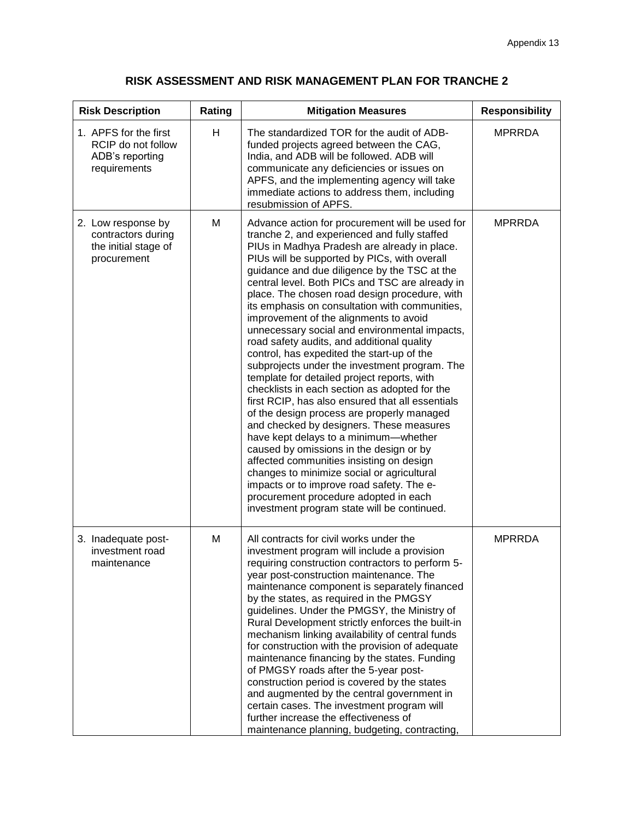## **RISK ASSESSMENT AND RISK MANAGEMENT PLAN FOR TRANCHE 2**

| <b>Risk Description</b>                                                         | Rating | <b>Mitigation Measures</b>                                                                                                                                                                                                                                                                                                                                                                                                                                                                                                                                                                                                                                                                                                                                                                                                                                                                                                                                                                                                                                                                                                                                                                                     | <b>Responsibility</b> |
|---------------------------------------------------------------------------------|--------|----------------------------------------------------------------------------------------------------------------------------------------------------------------------------------------------------------------------------------------------------------------------------------------------------------------------------------------------------------------------------------------------------------------------------------------------------------------------------------------------------------------------------------------------------------------------------------------------------------------------------------------------------------------------------------------------------------------------------------------------------------------------------------------------------------------------------------------------------------------------------------------------------------------------------------------------------------------------------------------------------------------------------------------------------------------------------------------------------------------------------------------------------------------------------------------------------------------|-----------------------|
| 1. APFS for the first<br>RCIP do not follow<br>ADB's reporting<br>requirements  | H      | The standardized TOR for the audit of ADB-<br>funded projects agreed between the CAG,<br>India, and ADB will be followed. ADB will<br>communicate any deficiencies or issues on<br>APFS, and the implementing agency will take<br>immediate actions to address them, including<br>resubmission of APFS.                                                                                                                                                                                                                                                                                                                                                                                                                                                                                                                                                                                                                                                                                                                                                                                                                                                                                                        | <b>MPRRDA</b>         |
| 2. Low response by<br>contractors during<br>the initial stage of<br>procurement | M      | Advance action for procurement will be used for<br>tranche 2, and experienced and fully staffed<br>PIUs in Madhya Pradesh are already in place.<br>PIUs will be supported by PICs, with overall<br>guidance and due diligence by the TSC at the<br>central level. Both PICs and TSC are already in<br>place. The chosen road design procedure, with<br>its emphasis on consultation with communities,<br>improvement of the alignments to avoid<br>unnecessary social and environmental impacts,<br>road safety audits, and additional quality<br>control, has expedited the start-up of the<br>subprojects under the investment program. The<br>template for detailed project reports, with<br>checklists in each section as adopted for the<br>first RCIP, has also ensured that all essentials<br>of the design process are properly managed<br>and checked by designers. These measures<br>have kept delays to a minimum-whether<br>caused by omissions in the design or by<br>affected communities insisting on design<br>changes to minimize social or agricultural<br>impacts or to improve road safety. The e-<br>procurement procedure adopted in each<br>investment program state will be continued. | <b>MPRRDA</b>         |
| 3. Inadequate post-<br>investment road<br>maintenance                           | M      | All contracts for civil works under the<br>investment program will include a provision<br>requiring construction contractors to perform 5-<br>year post-construction maintenance. The<br>maintenance component is separately financed<br>by the states, as required in the PMGSY<br>guidelines. Under the PMGSY, the Ministry of<br>Rural Development strictly enforces the built-in<br>mechanism linking availability of central funds<br>for construction with the provision of adequate<br>maintenance financing by the states. Funding<br>of PMGSY roads after the 5-year post-<br>construction period is covered by the states<br>and augmented by the central government in<br>certain cases. The investment program will<br>further increase the effectiveness of<br>maintenance planning, budgeting, contracting,                                                                                                                                                                                                                                                                                                                                                                                      | <b>MPRRDA</b>         |